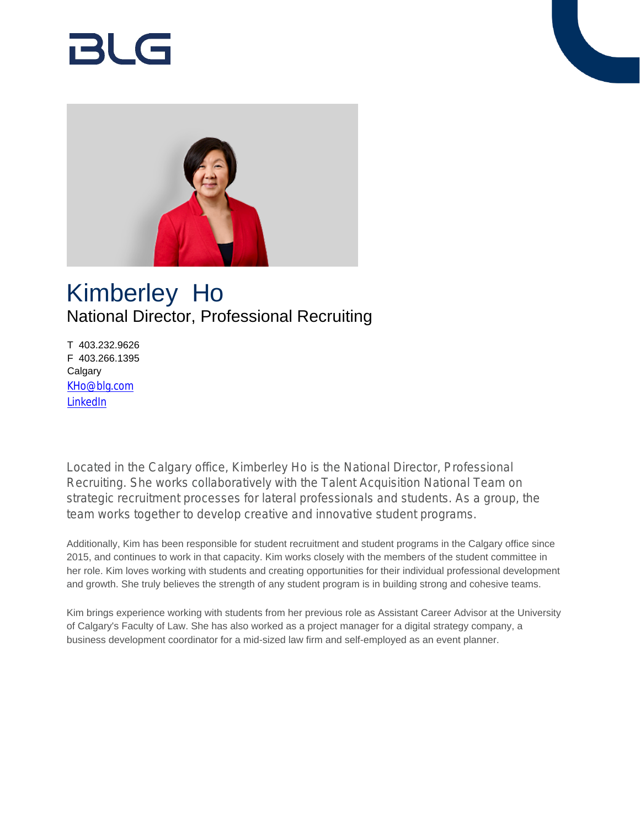# Rl G



## Kimberley Ho National Director, Professional Recruiting

T 403.232.9626 F 403.266.1395 **Calgary** [KHo@blg.com](mailto:KHo@blg.com) [LinkedIn](https://www.linkedin.com/in/hokimberley/?originalSubdomain=ca)

Located in the Calgary office, Kimberley Ho is the National Director, Professional Recruiting. She works collaboratively with the Talent Acquisition National Team on strategic recruitment processes for lateral professionals and students. As a group, the team works together to develop creative and innovative student programs.

Additionally, Kim has been responsible for student recruitment and student programs in the Calgary office since 2015, and continues to work in that capacity. Kim works closely with the members of the student committee in her role. Kim loves working with students and creating opportunities for their individual professional development and growth. She truly believes the strength of any student program is in building strong and cohesive teams.

Kim brings experience working with students from her previous role as Assistant Career Advisor at the University of Calgary's Faculty of Law. She has also worked as a project manager for a digital strategy company, a business development coordinator for a mid-sized law firm and self-employed as an event planner.